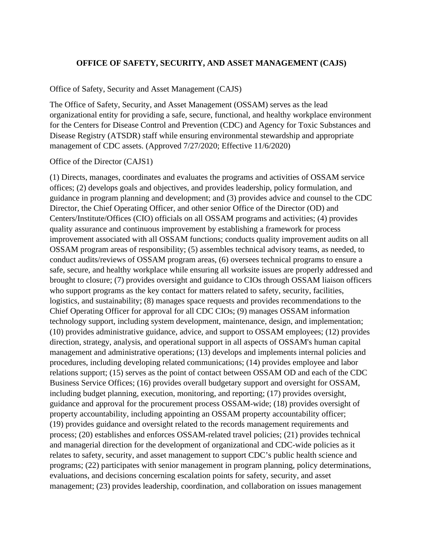### **OFFICE OF SAFETY, SECURITY, AND ASSET MANAGEMENT (CAJS)**

#### Office of Safety, Security and Asset Management (CAJS)

The Office of Safety, Security, and Asset Management (OSSAM) serves as the lead organizational entity for providing a safe, secure, functional, and healthy workplace environment for the Centers for Disease Control and Prevention (CDC) and Agency for Toxic Substances and Disease Registry (ATSDR) staff while ensuring environmental stewardship and appropriate management of CDC assets. (Approved 7/27/2020; Effective 11/6/2020)

#### Office of the Director (CAJS1)

(1) Directs, manages, coordinates and evaluates the programs and activities of OSSAM service offices; (2) develops goals and objectives, and provides leadership, policy formulation, and guidance in program planning and development; and (3) provides advice and counsel to the CDC Director, the Chief Operating Officer, and other senior Office of the Director (OD) and Centers/Institute/Offices (CIO) officials on all OSSAM programs and activities; (4) provides quality assurance and continuous improvement by establishing a framework for process improvement associated with all OSSAM functions; conducts quality improvement audits on all OSSAM program areas of responsibility; (5) assembles technical advisory teams, as needed, to conduct audits/reviews of OSSAM program areas, (6) oversees technical programs to ensure a safe, secure, and healthy workplace while ensuring all worksite issues are properly addressed and brought to closure; (7) provides oversight and guidance to CIOs through OSSAM liaison officers who support programs as the key contact for matters related to safety, security, facilities, logistics, and sustainability; (8) manages space requests and provides recommendations to the Chief Operating Officer for approval for all CDC CIOs; (9) manages OSSAM information technology support, including system development, maintenance, design, and implementation; (10) provides administrative guidance, advice, and support to OSSAM employees; (12) provides direction, strategy, analysis, and operational support in all aspects of OSSAM's human capital management and administrative operations; (13) develops and implements internal policies and procedures, including developing related communications; (14) provides employee and labor relations support; (15) serves as the point of contact between OSSAM OD and each of the CDC Business Service Offices; (16) provides overall budgetary support and oversight for OSSAM, including budget planning, execution, monitoring, and reporting; (17) provides oversight, guidance and approval for the procurement process OSSAM-wide; (18) provides oversight of property accountability, including appointing an OSSAM property accountability officer; (19) provides guidance and oversight related to the records management requirements and process; (20) establishes and enforces OSSAM-related travel policies; (21) provides technical and managerial direction for the development of organizational and CDC-wide policies as it relates to safety, security, and asset management to support CDC's public health science and programs; (22) participates with senior management in program planning, policy determinations, evaluations, and decisions concerning escalation points for safety, security, and asset management; (23) provides leadership, coordination, and collaboration on issues management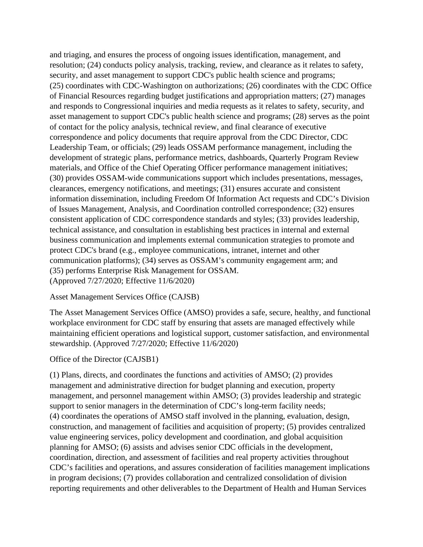and triaging, and ensures the process of ongoing issues identification, management, and resolution; (24) conducts policy analysis, tracking, review, and clearance as it relates to safety, security, and asset management to support CDC's public health science and programs; (25) coordinates with CDC-Washington on authorizations; (26) coordinates with the CDC Office of Financial Resources regarding budget justifications and appropriation matters; (27) manages and responds to Congressional inquiries and media requests as it relates to safety, security, and asset management to support CDC's public health science and programs; (28) serves as the point of contact for the policy analysis, technical review, and final clearance of executive correspondence and policy documents that require approval from the CDC Director, CDC Leadership Team, or officials; (29) leads OSSAM performance management, including the development of strategic plans, performance metrics, dashboards, Quarterly Program Review materials, and Office of the Chief Operating Officer performance management initiatives; (30) provides OSSAM-wide communications support which includes presentations, messages, clearances, emergency notifications, and meetings; (31) ensures accurate and consistent information dissemination, including Freedom Of Information Act requests and CDC's Division of Issues Management, Analysis, and Coordination controlled correspondence; (32) ensures consistent application of CDC correspondence standards and styles; (33) provides leadership, technical assistance, and consultation in establishing best practices in internal and external business communication and implements external communication strategies to promote and protect CDC's brand (e.g., employee communications, intranet, internet and other communication platforms); (34) serves as OSSAM's community engagement arm; and (35) performs Enterprise Risk Management for OSSAM. (Approved 7/27/2020; Effective 11/6/2020)

### Asset Management Services Office (CAJSB)

The Asset Management Services Office (AMSO) provides a safe, secure, healthy, and functional workplace environment for CDC staff by ensuring that assets are managed effectively while maintaining efficient operations and logistical support, customer satisfaction, and environmental stewardship. (Approved 7/27/2020; Effective 11/6/2020)

#### Office of the Director (CAJSB1)

(1) Plans, directs, and coordinates the functions and activities of AMSO; (2) provides management and administrative direction for budget planning and execution, property management, and personnel management within AMSO; (3) provides leadership and strategic support to senior managers in the determination of CDC's long-term facility needs; (4) coordinates the operations of AMSO staff involved in the planning, evaluation, design, construction, and management of facilities and acquisition of property; (5) provides centralized value engineering services, policy development and coordination, and global acquisition planning for AMSO; (6) assists and advises senior CDC officials in the development, coordination, direction, and assessment of facilities and real property activities throughout CDC's facilities and operations, and assures consideration of facilities management implications in program decisions; (7) provides collaboration and centralized consolidation of division reporting requirements and other deliverables to the Department of Health and Human Services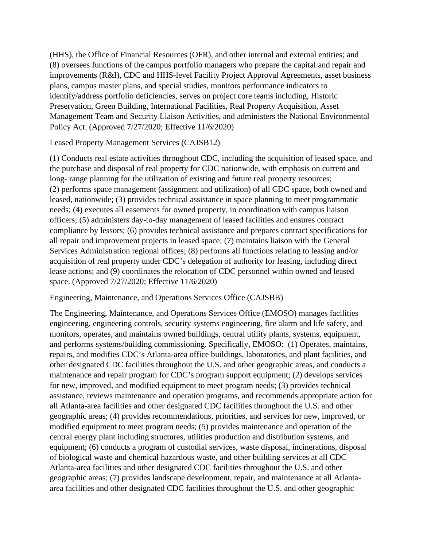(HHS), the Office of Financial Resources (OFR), and other internal and external entities; and (8) oversees functions of the campus portfolio managers who prepare the capital and repair and improvements (R&I), CDC and HHS-level Facility Project Approval Agreements, asset business plans, campus master plans, and special studies, monitors performance indicators to identify/address portfolio deficiencies, serves on project core teams including, Historic Preservation, Green Building, International Facilities, Real Property Acquisition, Asset Management Team and Security Liaison Activities, and administers the National Environmental Policy Act. (Approved 7/27/2020; Effective 11/6/2020)

### Leased Property Management Services (CAJSB12)

(1) Conducts real estate activities throughout CDC, including the acquisition of leased space, and the purchase and disposal of real property for CDC nationwide, with emphasis on current and long- range planning for the utilization of existing and future real property resources; (2) performs space management (assignment and utilization) of all CDC space, both owned and leased, nationwide; (3) provides technical assistance in space planning to meet programmatic needs; (4) executes all easements for owned property, in coordination with campus liaison officers; (5) administers day-to-day management of leased facilities and ensures contract compliance by lessors; (6) provides technical assistance and prepares contract specifications for all repair and improvement projects in leased space; (7) maintains liaison with the General Services Administration regional offices; (8) performs all functions relating to leasing and/or acquisition of real property under CDC's delegation of authority for leasing, including direct lease actions; and (9) coordinates the relocation of CDC personnel within owned and leased space. (Approved 7/27/2020; Effective 11/6/2020)

#### Engineering, Maintenance, and Operations Services Office (CAJSBB)

The Engineering, Maintenance, and Operations Services Office (EMOSO) manages facilities engineering, engineering controls, security systems engineering, fire alarm and life safety, and monitors, operates, and maintains owned buildings, central utility plants, systems, equipment, and performs systems/building commissioning. Specifically, EMOSO: (1) Operates, maintains, repairs, and modifies CDC's Atlanta-area office buildings, laboratories, and plant facilities, and other designated CDC facilities throughout the U.S. and other geographic areas, and conducts a maintenance and repair program for CDC's program support equipment; (2) develops services for new, improved, and modified equipment to meet program needs; (3) provides technical assistance, reviews maintenance and operation programs, and recommends appropriate action for all Atlanta-area facilities and other designated CDC facilities throughout the U.S. and other geographic areas; (4) provides recommendations, priorities, and services for new, improved, or modified equipment to meet program needs; (5) provides maintenance and operation of the central energy plant including structures, utilities production and distribution systems, and equipment; (6) conducts a program of custodial services, waste disposal, incinerations, disposal of biological waste and chemical hazardous waste, and other building services at all CDC Atlanta-area facilities and other designated CDC facilities throughout the U.S. and other geographic areas; (7) provides landscape development, repair, and maintenance at all Atlantaarea facilities and other designated CDC facilities throughout the U.S. and other geographic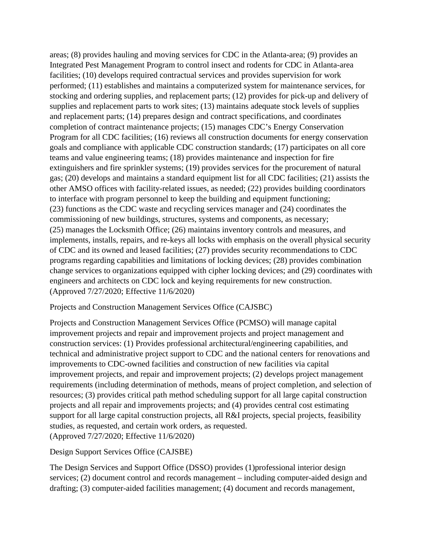areas; (8) provides hauling and moving services for CDC in the Atlanta-area; (9) provides an Integrated Pest Management Program to control insect and rodents for CDC in Atlanta-area facilities; (10) develops required contractual services and provides supervision for work performed; (11) establishes and maintains a computerized system for maintenance services, for stocking and ordering supplies, and replacement parts; (12) provides for pick-up and delivery of supplies and replacement parts to work sites; (13) maintains adequate stock levels of supplies and replacement parts; (14) prepares design and contract specifications, and coordinates completion of contract maintenance projects; (15) manages CDC's Energy Conservation Program for all CDC facilities; (16) reviews all construction documents for energy conservation goals and compliance with applicable CDC construction standards; (17) participates on all core teams and value engineering teams; (18) provides maintenance and inspection for fire extinguishers and fire sprinkler systems; (19) provides services for the procurement of natural gas; (20) develops and maintains a standard equipment list for all CDC facilities; (21) assists the other AMSO offices with facility-related issues, as needed; (22) provides building coordinators to interface with program personnel to keep the building and equipment functioning; (23) functions as the CDC waste and recycling services manager and (24) coordinates the commissioning of new buildings, structures, systems and components, as necessary; (25) manages the Locksmith Office; (26) maintains inventory controls and measures, and implements, installs, repairs, and re-keys all locks with emphasis on the overall physical security of CDC and its owned and leased facilities; (27) provides security recommendations to CDC programs regarding capabilities and limitations of locking devices; (28) provides combination change services to organizations equipped with cipher locking devices; and (29) coordinates with engineers and architects on CDC lock and keying requirements for new construction. (Approved 7/27/2020; Effective 11/6/2020)

#### Projects and Construction Management Services Office (CAJSBC)

Projects and Construction Management Services Office (PCMSO) will manage capital improvement projects and repair and improvement projects and project management and construction services: (1) Provides professional architectural/engineering capabilities, and technical and administrative project support to CDC and the national centers for renovations and improvements to CDC-owned facilities and construction of new facilities via capital improvement projects, and repair and improvement projects; (2) develops project management requirements (including determination of methods, means of project completion, and selection of resources; (3) provides critical path method scheduling support for all large capital construction projects and all repair and improvements projects; and (4) provides central cost estimating support for all large capital construction projects, all R&I projects, special projects, feasibility studies, as requested, and certain work orders, as requested. (Approved 7/27/2020; Effective 11/6/2020)

## Design Support Services Office (CAJSBE)

The Design Services and Support Office (DSSO) provides (1)professional interior design services; (2) document control and records management – including computer-aided design and drafting; (3) computer-aided facilities management; (4) document and records management,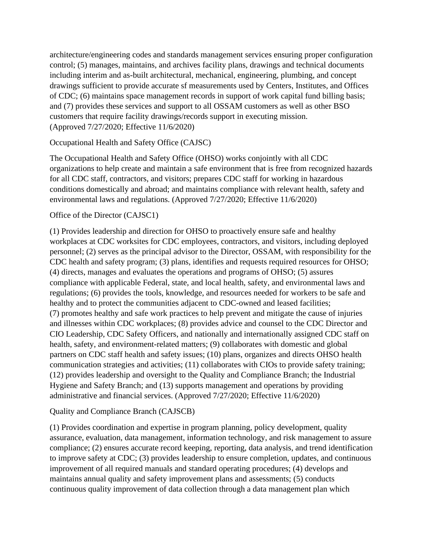architecture/engineering codes and standards management services ensuring proper configuration control; (5) manages, maintains, and archives facility plans, drawings and technical documents including interim and as-built architectural, mechanical, engineering, plumbing, and concept drawings sufficient to provide accurate sf measurements used by Centers, Institutes, and Offices of CDC; (6) maintains space management records in support of work capital fund billing basis; and (7) provides these services and support to all OSSAM customers as well as other BSO customers that require facility drawings/records support in executing mission. (Approved 7/27/2020; Effective 11/6/2020)

# Occupational Health and Safety Office (CAJSC)

The Occupational Health and Safety Office (OHSO) works conjointly with all CDC organizations to help create and maintain a safe environment that is free from recognized hazards for all CDC staff, contractors, and visitors; prepares CDC staff for working in hazardous conditions domestically and abroad; and maintains compliance with relevant health, safety and environmental laws and regulations. (Approved 7/27/2020; Effective 11/6/2020)

## Office of the Director (CAJSC1)

(1) Provides leadership and direction for OHSO to proactively ensure safe and healthy workplaces at CDC worksites for CDC employees, contractors, and visitors, including deployed personnel; (2) serves as the principal advisor to the Director, OSSAM, with responsibility for the CDC health and safety program; (3) plans, identifies and requests required resources for OHSO; (4) directs, manages and evaluates the operations and programs of OHSO; (5) assures compliance with applicable Federal, state, and local health, safety, and environmental laws and regulations; (6) provides the tools, knowledge, and resources needed for workers to be safe and healthy and to protect the communities adjacent to CDC-owned and leased facilities; (7) promotes healthy and safe work practices to help prevent and mitigate the cause of injuries and illnesses within CDC workplaces; (8) provides advice and counsel to the CDC Director and CIO Leadership, CDC Safety Officers, and nationally and internationally assigned CDC staff on health, safety, and environment-related matters; (9) collaborates with domestic and global partners on CDC staff health and safety issues; (10) plans, organizes and directs OHSO health communication strategies and activities; (11) collaborates with CIOs to provide safety training; (12) provides leadership and oversight to the Quality and Compliance Branch; the Industrial Hygiene and Safety Branch; and (13) supports management and operations by providing administrative and financial services. (Approved 7/27/2020; Effective 11/6/2020)

## Quality and Compliance Branch (CAJSCB)

(1) Provides coordination and expertise in program planning, policy development, quality assurance, evaluation, data management, information technology, and risk management to assure compliance; (2) ensures accurate record keeping, reporting, data analysis, and trend identification to improve safety at CDC; (3) provides leadership to ensure completion, updates, and continuous improvement of all required manuals and standard operating procedures; (4) develops and maintains annual quality and safety improvement plans and assessments; (5) conducts continuous quality improvement of data collection through a data management plan which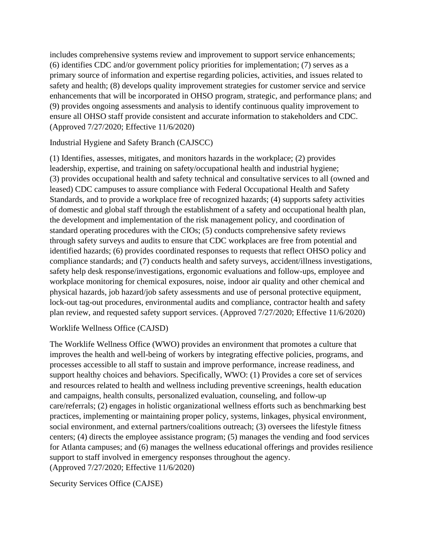includes comprehensive systems review and improvement to support service enhancements; (6) identifies CDC and/or government policy priorities for implementation; (7) serves as a primary source of information and expertise regarding policies, activities, and issues related to safety and health; (8) develops quality improvement strategies for customer service and service enhancements that will be incorporated in OHSO program, strategic, and performance plans; and (9) provides ongoing assessments and analysis to identify continuous quality improvement to ensure all OHSO staff provide consistent and accurate information to stakeholders and CDC. (Approved 7/27/2020; Effective 11/6/2020)

Industrial Hygiene and Safety Branch (CAJSCC)

(1) Identifies, assesses, mitigates, and monitors hazards in the workplace; (2) provides leadership, expertise, and training on safety/occupational health and industrial hygiene; (3) provides occupational health and safety technical and consultative services to all (owned and leased) CDC campuses to assure compliance with Federal Occupational Health and Safety Standards, and to provide a workplace free of recognized hazards; (4) supports safety activities of domestic and global staff through the establishment of a safety and occupational health plan, the development and implementation of the risk management policy, and coordination of standard operating procedures with the CIOs; (5) conducts comprehensive safety reviews through safety surveys and audits to ensure that CDC workplaces are free from potential and identified hazards; (6) provides coordinated responses to requests that reflect OHSO policy and compliance standards; and (7) conducts health and safety surveys, accident/illness investigations, safety help desk response/investigations, ergonomic evaluations and follow-ups, employee and workplace monitoring for chemical exposures, noise, indoor air quality and other chemical and physical hazards, job hazard/job safety assessments and use of personal protective equipment, lock-out tag-out procedures, environmental audits and compliance, contractor health and safety plan review, and requested safety support services. (Approved 7/27/2020; Effective 11/6/2020)

#### Worklife Wellness Office (CAJSD)

The Worklife Wellness Office (WWO) provides an environment that promotes a culture that improves the health and well-being of workers by integrating effective policies, programs, and processes accessible to all staff to sustain and improve performance, increase readiness, and support healthy choices and behaviors. Specifically, WWO: (1) Provides a core set of services and resources related to health and wellness including preventive screenings, health education and campaigns, health consults, personalized evaluation, counseling, and follow-up care/referrals; (2) engages in holistic organizational wellness efforts such as benchmarking best practices, implementing or maintaining proper policy, systems, linkages, physical environment, social environment, and external partners/coalitions outreach; (3) oversees the lifestyle fitness centers; (4) directs the employee assistance program; (5) manages the vending and food services for Atlanta campuses; and (6) manages the wellness educational offerings and provides resilience support to staff involved in emergency responses throughout the agency. (Approved 7/27/2020; Effective 11/6/2020)

Security Services Office (CAJSE)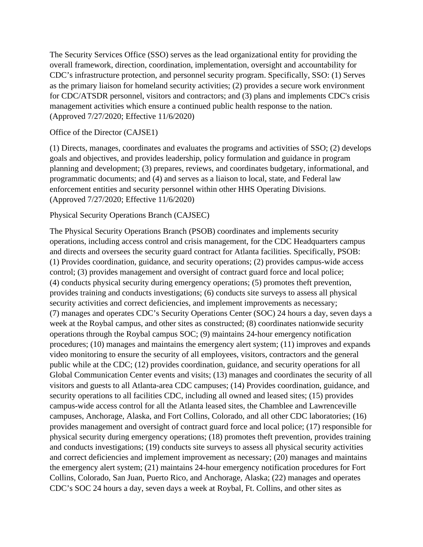The Security Services Office (SSO) serves as the lead organizational entity for providing the overall framework, direction, coordination, implementation, oversight and accountability for CDC's infrastructure protection, and personnel security program. Specifically, SSO: (1) Serves as the primary liaison for homeland security activities; (2) provides a secure work environment for CDC/ATSDR personnel, visitors and contractors; and (3) plans and implements CDC's crisis management activities which ensure a continued public health response to the nation. (Approved 7/27/2020; Effective 11/6/2020)

#### Office of the Director (CAJSE1)

(1) Directs, manages, coordinates and evaluates the programs and activities of SSO; (2) develops goals and objectives, and provides leadership, policy formulation and guidance in program planning and development; (3) prepares, reviews, and coordinates budgetary, informational, and programmatic documents; and (4) and serves as a liaison to local, state, and Federal law enforcement entities and security personnel within other HHS Operating Divisions. (Approved 7/27/2020; Effective 11/6/2020)

### Physical Security Operations Branch (CAJSEC)

The Physical Security Operations Branch (PSOB) coordinates and implements security operations, including access control and crisis management, for the CDC Headquarters campus and directs and oversees the security guard contract for Atlanta facilities. Specifically, PSOB: (1) Provides coordination, guidance, and security operations; (2) provides campus-wide access control; (3) provides management and oversight of contract guard force and local police; (4) conducts physical security during emergency operations; (5) promotes theft prevention, provides training and conducts investigations; (6) conducts site surveys to assess all physical security activities and correct deficiencies, and implement improvements as necessary; (7) manages and operates CDC's Security Operations Center (SOC) 24 hours a day, seven days a week at the Roybal campus, and other sites as constructed; (8) coordinates nationwide security operations through the Roybal campus SOC; (9) maintains 24-hour emergency notification procedures; (10) manages and maintains the emergency alert system; (11) improves and expands video monitoring to ensure the security of all employees, visitors, contractors and the general public while at the CDC; (12) provides coordination, guidance, and security operations for all Global Communication Center events and visits; (13) manages and coordinates the security of all visitors and guests to all Atlanta-area CDC campuses; (14) Provides coordination, guidance, and security operations to all facilities CDC, including all owned and leased sites; (15) provides campus-wide access control for all the Atlanta leased sites, the Chamblee and Lawrenceville campuses, Anchorage, Alaska, and Fort Collins, Colorado, and all other CDC laboratories; (16) provides management and oversight of contract guard force and local police; (17) responsible for physical security during emergency operations; (18) promotes theft prevention, provides training and conducts investigations; (19) conducts site surveys to assess all physical security activities and correct deficiencies and implement improvement as necessary; (20) manages and maintains the emergency alert system; (21) maintains 24-hour emergency notification procedures for Fort Collins, Colorado, San Juan, Puerto Rico, and Anchorage, Alaska; (22) manages and operates CDC's SOC 24 hours a day, seven days a week at Roybal, Ft. Collins, and other sites as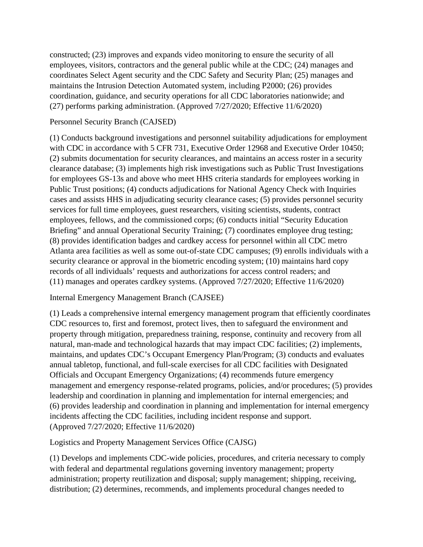constructed; (23) improves and expands video monitoring to ensure the security of all employees, visitors, contractors and the general public while at the CDC; (24) manages and coordinates Select Agent security and the CDC Safety and Security Plan; (25) manages and maintains the Intrusion Detection Automated system, including P2000; (26) provides coordination, guidance, and security operations for all CDC laboratories nationwide; and (27) performs parking administration. (Approved 7/27/2020; Effective 11/6/2020)

### Personnel Security Branch (CAJSED)

(1) Conducts background investigations and personnel suitability adjudications for employment with CDC in accordance with 5 CFR 731, Executive Order 12968 and Executive Order 10450; (2) submits documentation for security clearances, and maintains an access roster in a security clearance database; (3) implements high risk investigations such as Public Trust Investigations for employees GS-13s and above who meet HHS criteria standards for employees working in Public Trust positions; (4) conducts adjudications for National Agency Check with Inquiries cases and assists HHS in adjudicating security clearance cases; (5) provides personnel security services for full time employees, guest researchers, visiting scientists, students, contract employees, fellows, and the commissioned corps; (6) conducts initial "Security Education Briefing" and annual Operational Security Training; (7) coordinates employee drug testing; (8) provides identification badges and cardkey access for personnel within all CDC metro Atlanta area facilities as well as some out-of-state CDC campuses; (9) enrolls individuals with a security clearance or approval in the biometric encoding system; (10) maintains hard copy records of all individuals' requests and authorizations for access control readers; and (11) manages and operates cardkey systems. (Approved 7/27/2020; Effective 11/6/2020)

## Internal Emergency Management Branch (CAJSEE)

(1) Leads a comprehensive internal emergency management program that efficiently coordinates CDC resources to, first and foremost, protect lives, then to safeguard the environment and property through mitigation, preparedness training, response, continuity and recovery from all natural, man-made and technological hazards that may impact CDC facilities; (2) implements, maintains, and updates CDC's Occupant Emergency Plan/Program; (3) conducts and evaluates annual tabletop, functional, and full-scale exercises for all CDC facilities with Designated Officials and Occupant Emergency Organizations; (4) recommends future emergency management and emergency response-related programs, policies, and/or procedures; (5) provides leadership and coordination in planning and implementation for internal emergencies; and (6) provides leadership and coordination in planning and implementation for internal emergency incidents affecting the CDC facilities, including incident response and support. (Approved 7/27/2020; Effective 11/6/2020)

Logistics and Property Management Services Office (CAJSG)

(1) Develops and implements CDC-wide policies, procedures, and criteria necessary to comply with federal and departmental regulations governing inventory management; property administration; property reutilization and disposal; supply management; shipping, receiving, distribution; (2) determines, recommends, and implements procedural changes needed to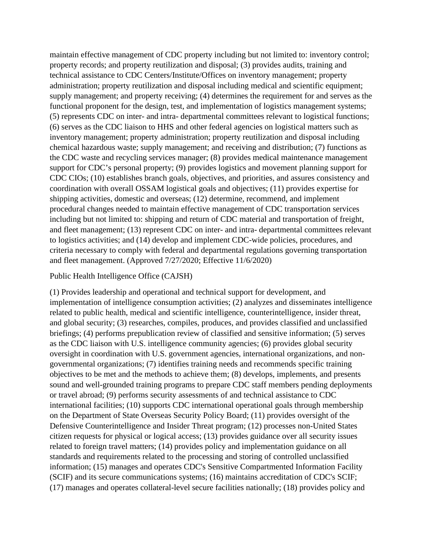maintain effective management of CDC property including but not limited to: inventory control; property records; and property reutilization and disposal; (3) provides audits, training and technical assistance to CDC Centers/Institute/Offices on inventory management; property administration; property reutilization and disposal including medical and scientific equipment; supply management; and property receiving; (4) determines the requirement for and serves as the functional proponent for the design, test, and implementation of logistics management systems; (5) represents CDC on inter- and intra- departmental committees relevant to logistical functions; (6) serves as the CDC liaison to HHS and other federal agencies on logistical matters such as inventory management; property administration; property reutilization and disposal including chemical hazardous waste; supply management; and receiving and distribution; (7) functions as the CDC waste and recycling services manager; (8) provides medical maintenance management support for CDC's personal property; (9) provides logistics and movement planning support for CDC CIOs; (10) establishes branch goals, objectives, and priorities, and assures consistency and coordination with overall OSSAM logistical goals and objectives; (11) provides expertise for shipping activities, domestic and overseas; (12) determine, recommend, and implement procedural changes needed to maintain effective management of CDC transportation services including but not limited to: shipping and return of CDC material and transportation of freight, and fleet management; (13) represent CDC on inter- and intra- departmental committees relevant to logistics activities; and (14) develop and implement CDC-wide policies, procedures, and criteria necessary to comply with federal and departmental regulations governing transportation and fleet management. (Approved 7/27/2020; Effective 11/6/2020)

#### Public Health Intelligence Office (CAJSH)

(1) Provides leadership and operational and technical support for development, and implementation of intelligence consumption activities; (2) analyzes and disseminates intelligence related to public health, medical and scientific intelligence, counterintelligence, insider threat, and global security; (3) researches, compiles, produces, and provides classified and unclassified briefings; (4) performs prepublication review of classified and sensitive information; (5) serves as the CDC liaison with U.S. intelligence community agencies; (6) provides global security oversight in coordination with U.S. government agencies, international organizations, and nongovernmental organizations; (7) identifies training needs and recommends specific training objectives to be met and the methods to achieve them; (8) develops, implements, and presents sound and well-grounded training programs to prepare CDC staff members pending deployments or travel abroad; (9) performs security assessments of and technical assistance to CDC international facilities; (10) supports CDC international operational goals through membership on the Department of State Overseas Security Policy Board; (11) provides oversight of the Defensive Counterintelligence and Insider Threat program; (12) processes non-United States citizen requests for physical or logical access; (13) provides guidance over all security issues related to foreign travel matters; (14) provides policy and implementation guidance on all standards and requirements related to the processing and storing of controlled unclassified information; (15) manages and operates CDC's Sensitive Compartmented Information Facility (SCIF) and its secure communications systems; (16) maintains accreditation of CDC's SCIF; (17) manages and operates collateral-level secure facilities nationally; (18) provides policy and